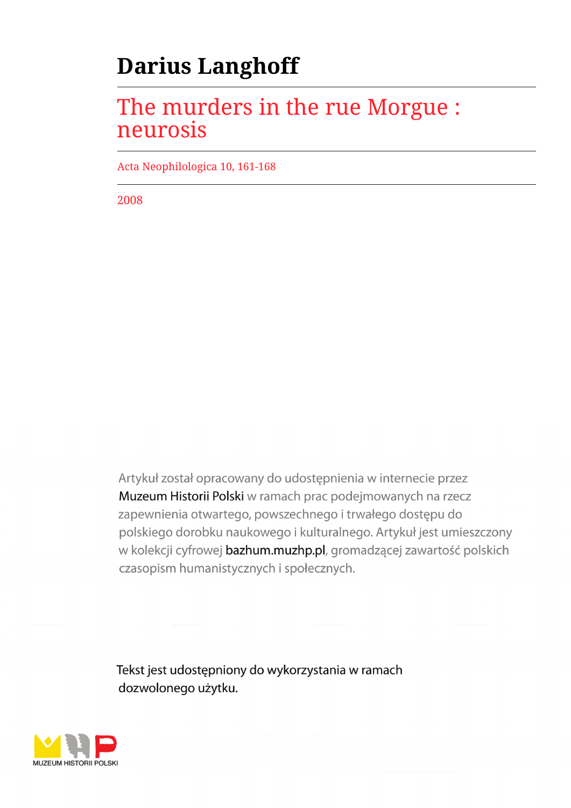# **Darius Langhoff**

## The murders in the rue Morgue : neurosis

Acta Neophilologica 10, 161-168

2008

Artykuł został opracowany do udostępnienia w internecie przez Muzeum Historii Polski w ramach prac podejmowanych na rzecz zapewnienia otwartego, powszechnego i trwałego dostępu do polskiego dorobku naukowego i kulturalnego. Artykuł jest umieszczony w kolekcji cyfrowej bazhum.muzhp.pl, gromadzącej zawartość polskich czasopism humanistycznych i społecznych.

Tekst jest udostępniony do wykorzystania w ramach dozwolonego użytku.

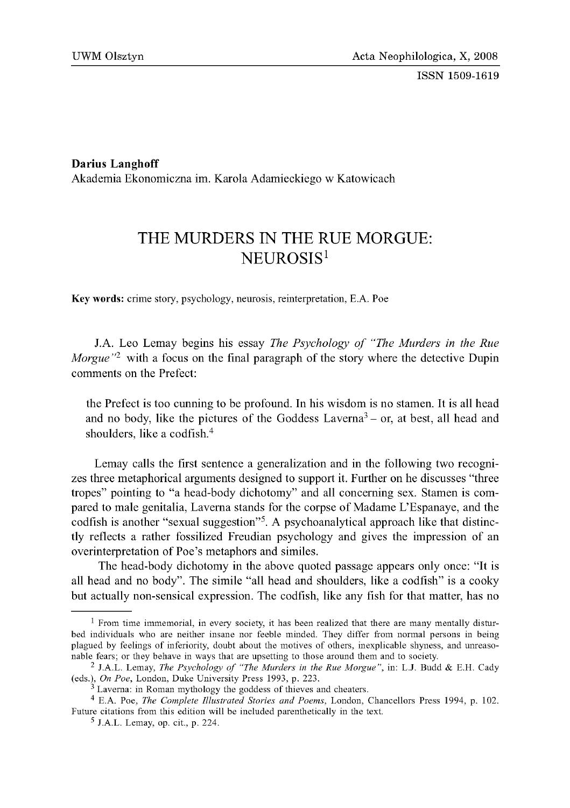ISSN 1509-1619

**Darius Langhoff** Akademia Ekonomiczna im. Karola Adamieckiego w Katowicach

### THE MURDERS IN THE RUE MORGUE: NEUROSIS<sup>1</sup>

Key words: crime story, psychology, neurosis, reinterpretation, E.A. Poe

J.A. Leo Lemay begins his essay *The Psychology of "The Murders in the Rue Morgue*<sup>12</sup> with a focus on the final paragraph of the story where the detective Dupin comments on the Prefect:

the Prefect is too cunning to be profound. In his wisdom is no stamen. It is all head and no body, like the pictures of the Goddess Laverna<sup>3</sup> – or, at best, all head and shoulders, like a codfish.4

Lemay calls the first sentence a generalization and in the following two recognizes three metaphorical arguments designed to support it. Further on he discusses "three tropes" pointing to "a head-body dichotomy" and all concerning sex. Stamen is compared to male genitalia, Laverna stands for the corpse of Madame L'Espanaye, and the codfish is another "sexual suggestion"5. A psychoanalytical approach like that distinctly reflects a rather fossilized Freudian psychology and gives the impression of an overinterpretation of Poe's metaphors and similes.

The head-body dichotomy in the above quoted passage appears only once: "It is all head and no body". The simile "all head and shoulders, like a codfish" is a cooky but actually non-sensical expression. The codfish, like any fish for that matter, has no

 $1$  From time immemorial, in every society, it has been realized that there are many mentally disturbed individuals who are neither insane nor feeble minded. They differ from normal persons in being plagued by feelings of inferiority, doubt about the motives of others, inexplicable shyness, and unreasonable fears; or they behave in ways that are upsetting to those around them and to society.

<sup>&</sup>lt;sup>2</sup> J.A.L. Lemay, *The Psychology of "The Murders in the Rue Morgue"*, in: L.J. Budd & E.H. Cady (eds.), *On Poe*, London, Duke University Press 1993, p. 223.

Laverna: in Roman mythology the goddess of thieves and cheaters.

<sup>&</sup>lt;sup>4</sup> E.A. Poe, *The Complete Illustrated Stories and Poems*, London, Chancellors Press 1994, p. 102. Future citations from this edition will be included parenthetically in the text.

 $<sup>5</sup>$  J.A.L. Lemay, op. cit., p. 224.</sup>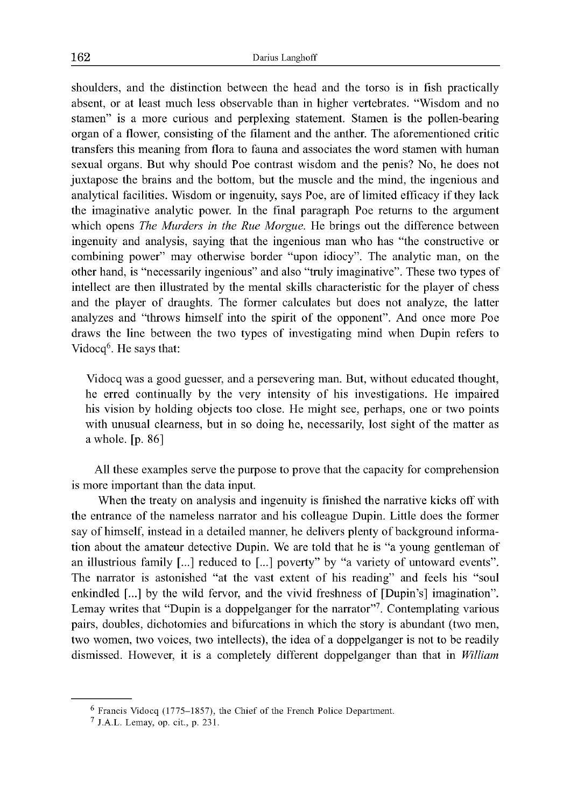shoulders, and the distinction between the head and the torso is in fish practically absent, or at least much less observable than in higher vertebrates. "Wisdom and no stamen" is a more curious and perplexing statement. Stamen is the pollen-bearing organ of a flower, consisting of the filament and the anther. The aforementioned critic transfers this meaning from flora to fauna and associates the word stamen with human sexual organs. But why should Poe contrast wisdom and the penis? No, he does not juxtapose the brains and the bottom, but the muscle and the mind, the ingenious and analytical facilities. Wisdom or ingenuity, says Poe, are of limited efficacy if they lack the imaginative analytic power. In the final paragraph Poe returns to the argument which opens *The Murders in the Rue Morgue.* He brings out the difference between ingenuity and analysis, saying that the ingenious man who has "the constructive or combining power" may otherwise border "upon idiocy". The analytic man, on the other hand, is "necessarily ingenious" and also "truly imaginative". These two types of intellect are then illustrated by the mental skills characteristic for the player of chess and the player of draughts. The former calculates but does not analyze, the latter analyzes and "throws himself into the spirit of the opponent". And once more Poe draws the line between the two types of investigating mind when Dupin refers to Vidocq<sup>6</sup>. He says that:

Vidocq was a good guesser, and a persevering man. But, without educated thought, he erred continually by the very intensity of his investigations. He impaired his vision by holding objects too close. He might see, perhaps, one or two points with unusual clearness, but in so doing he, necessarily, lost sight of the matter as a whole. [p. 86]

All these examples serve the purpose to prove that the capacity for comprehension is more important than the data input.

When the treaty on analysis and ingenuity is finished the narrative kicks off with the entrance of the nameless narrator and his colleague Dupin. Little does the former say of himself, instead in a detailed manner, he delivers plenty of background information about the amateur detective Dupin. We are told that he is "a young gentleman of an illustrious family [...] reduced to [...] poverty" by "a variety of untoward events". The narrator is astonished "at the vast extent of his reading" and feels his "soul enkindled [...] by the wild fervor, and the vivid freshness of [Dupin's] imagination". Lemay writes that "Dupin is a doppelganger for the narrator"7. Contemplating various pairs, doubles, dichotomies and bifurcations in which the story is abundant (two men, two women, two voices, two intellects), the idea of a doppelganger is not to be readily dismissed. However, it is a completely different doppelganger than that in *William*

 $6$  Francis Vidocq (1775–1857), the Chief of the French Police Department.

<sup>7</sup> J.A.L. Lemay, op. cit., p. 231.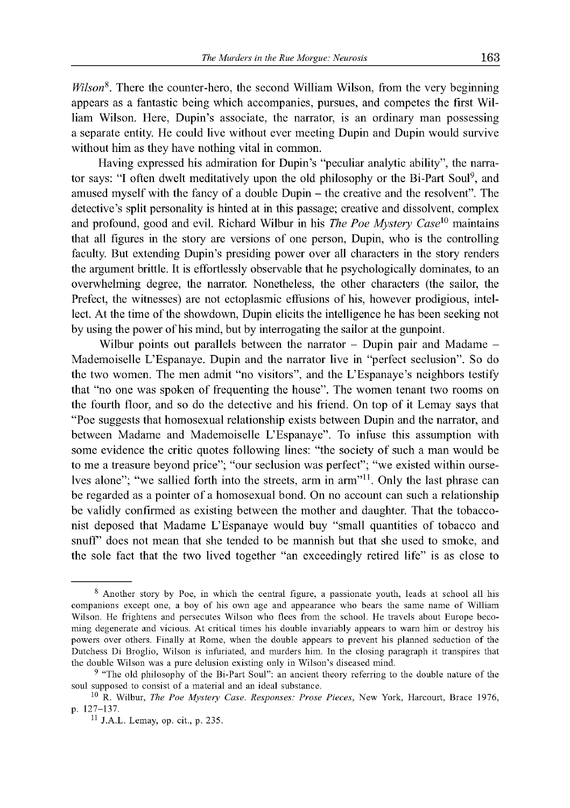*Wilson*8. There the counter-hero, the second William Wilson, from the very beginning appears as a fantastic being which accompanies, pursues, and competes the first William Wilson. Here, Dupin's associate, the narrator, is an ordinary man possessing a separate entity. He could live without ever meeting Dupin and Dupin would survive without him as they have nothing vital in common.

Having expressed his admiration for Dupin's "peculiar analytic ability", the narrator says: "I often dwelt meditatively upon the old philosophy or the Bi-Part Soul<sup>9</sup>, and amused myself with the fancy of a double Dupin - the creative and the resolvent". The detective's split personality is hinted at in this passage; creative and dissolvent, complex and profound, good and evil. Richard Wilbur in his *The Poe Mystery Case10* maintains that all figures in the story are versions of one person, Dupin, who is the controlling faculty. But extending Dupin's presiding power over all characters in the story renders the argument brittle. It is effortlessly observable that he psychologically dominates, to an overwhelming degree, the narrator. Nonetheless, the other characters (the sailor, the Prefect, the witnesses) are not ectoplasmic effusions of his, however prodigious, intellect. At the time of the showdown, Dupin elicits the intelligence he has been seeking not by using the power of his mind, but by interrogating the sailor at the gunpoint.

Wilbur points out parallels between the narrator  $-$  Dupin pair and Madame  $-$ Mademoiselle L'Espanaye. Dupin and the narrator live in "perfect seclusion". So do the two women. The men admit "no visitors", and the L'Espanaye's neighbors testify that "no one was spoken of frequenting the house". The women tenant two rooms on the fourth floor, and so do the detective and his friend. On top of it Lemay says that "Poe suggests that homosexual relationship exists between Dupin and the narrator, and between Madame and Mademoiselle L'Espanaye". To infuse this assumption with some evidence the critic quotes following lines: "the society of such a man would be to me a treasure beyond price"; "our seclusion was perfect"; "we existed within ourselves alone"; "we sallied forth into the streets, arm in arm"<sup>11</sup>. Only the last phrase can be regarded as a pointer of a homosexual bond. On no account can such a relationship be validly confirmed as existing between the mother and daughter. That the tobacconist deposed that Madame L'Espanaye would buy "small quantities of tobacco and snuff" does not mean that she tended to be mannish but that she used to smoke, and the sole fact that the two lived together "an exceedingly retired life" is as close to

<sup>&</sup>lt;sup>8</sup> Another story by Poe, in which the central figure, a passionate youth, leads at school all his companions except one, a boy of his own age and appearance who bears the same name of William Wilson. He frightens and persecutes Wilson who flees from the school. He travels about Europe becoming degenerate and vicious. At critical times his double invariably appears to warn him or destroy his powers over others. Finally at Rome, when the double appears to prevent his planned seduction of the Dutchess Di Broglio, Wilson is infuriated, and murders him. In the closing paragraph it transpires that the double Wilson was a pure delusion existing only in Wilson's diseased mind.

<sup>&</sup>lt;sup>9</sup> "The old philosophy of the Bi-Part Soul": an ancient theory referring to the double nature of the soul supposed to consist of a material and an ideal substance.

<sup>&</sup>lt;sup>10</sup> R. Wilbur, *The Poe Mystery Case. Responses: Prose Pieces*, New York, Harcourt, Brace 1976, p. 127-137.

<sup>11</sup> J.A.L. Lemay, op. cit., p. 235.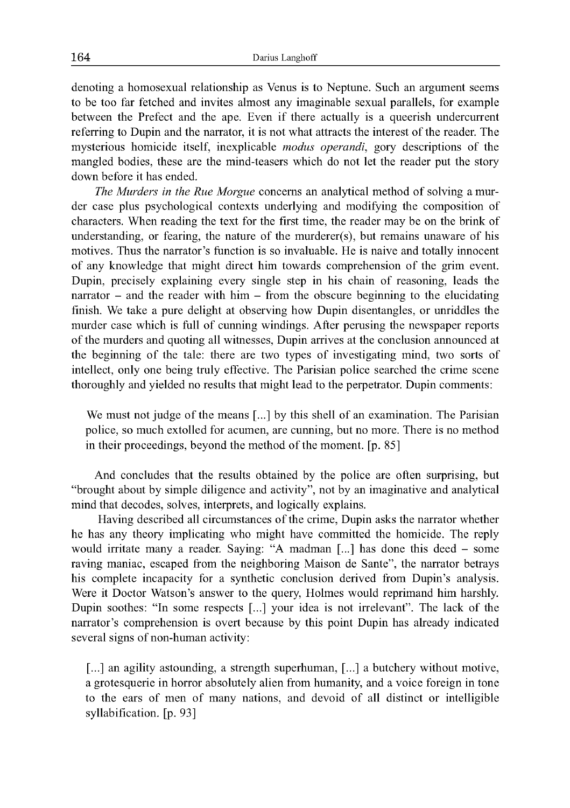denoting a homosexual relationship as Venus is to Neptune. Such an argument seems to be too far fetched and invites almost any imaginable sexual parallels, for example between the Prefect and the ape. Even if there actually is a queerish undercurrent referring to Dupin and the narrator, it is not what attracts the interest of the reader. The mysterious homicide itself, inexplicable *modus operandi,* gory descriptions of the mangled bodies, these are the mind-teasers which do not let the reader put the story down before it has ended.

*The Murders in the Rue Morgue* concerns an analytical method of solving a murder case plus psychological contexts underlying and modifying the composition of characters. When reading the text for the first time, the reader may be on the brink of understanding, or fearing, the nature of the murderer(s), but remains unaware of his motives. Thus the narrator's function is so invaluable. He is naive and totally innocent of any knowledge that might direct him towards comprehension of the grim event. Dupin, precisely explaining every single step in his chain of reasoning, leads the narrator  $-$  and the reader with him  $-$  from the obscure beginning to the elucidating finish. We take a pure delight at observing how Dupin disentangles, or unriddles the murder case which is full of cunning windings. After perusing the newspaper reports of the murders and quoting all witnesses, Dupin arrives at the conclusion announced at the beginning of the tale: there are two types of investigating mind, two sorts of intellect, only one being truly effective. The Parisian police searched the crime scene thoroughly and yielded no results that might lead to the perpetrator. Dupin comments:

We must not judge of the means [...] by this shell of an examination. The Parisian police, so much extolled for acumen, are cunning, but no more. There is no method in their proceedings, beyond the method of the moment. [p. 85]

And concludes that the results obtained by the police are often surprising, but "brought about by simple diligence and activity", not by an imaginative and analytical mind that decodes, solves, interprets, and logically explains.

Having described all circumstances of the crime, Dupin asks the narrator whether he has any theory implicating who might have committed the homicide. The reply would irritate many a reader. Saying: "A madman [...] has done this deed – some raving maniac, escaped from the neighboring Maison de Sante", the narrator betrays his complete incapacity for a synthetic conclusion derived from Dupin's analysis. Were it Doctor Watson's answer to the query, Holmes would reprimand him harshly. Dupin soothes: "In some respects [...] your idea is not irrelevant". The lack of the narrator's comprehension is overt because by this point Dupin has already indicated several signs of non-human activity:

[...] an agility astounding, a strength superhuman, [...] a butchery without motive, a grotesquerie in horror absolutely alien from humanity, and a voice foreign in tone to the ears of men of many nations, and devoid of all distinct or intelligible syllabification. [p. 93]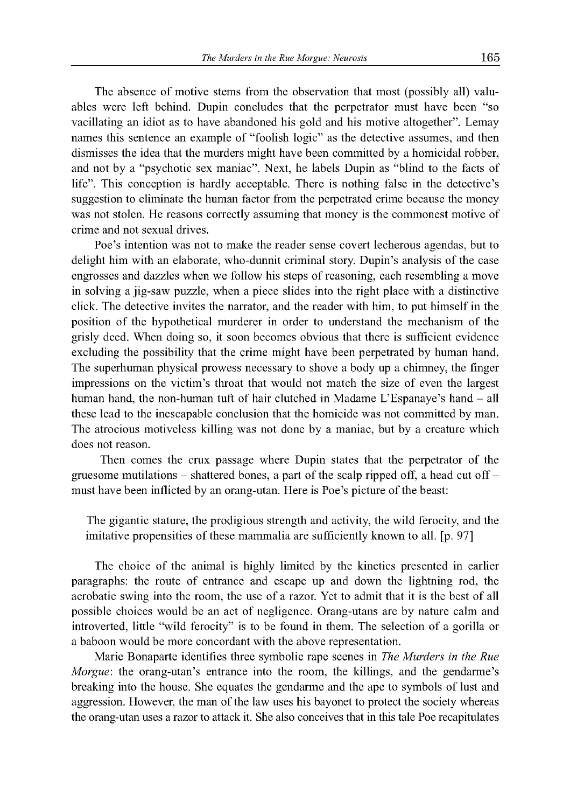The absence of motive stems from the observation that most (possibly all) valuables were left behind. Dupin concludes that the perpetrator must have been "so vacillating an idiot as to have abandoned his gold and his motive altogether". Lemay names this sentence an example of "foolish logic" as the detective assumes, and then dismisses the idea that the murders might have been committed by a homicidal robber, and not by a "psychotic sex maniac". Next, he labels Dupin as "blind to the facts of life". This conception is hardly acceptable. There is nothing false in the detective's suggestion to eliminate the human factor from the perpetrated crime because the money was not stolen. He reasons correctly assuming that money is the commonest motive of crime and not sexual drives.

Poe's intention was not to make the reader sense covert lecherous agendas, but to delight him with an elaborate, who-dunnit criminal story. Dupin's analysis of the case engrosses and dazzles when we follow his steps of reasoning, each resembling a move in solving a jig-saw puzzle, when a piece slides into the right place with a distinctive click. The detective invites the narrator, and the reader with him, to put himself in the position of the hypothetical murderer in order to understand the mechanism of the grisly deed. When doing so, it soon becomes obvious that there is sufficient evidence excluding the possibility that the crime might have been perpetrated by human hand. The superhuman physical prowess necessary to shove a body up a chimney, the finger impressions on the victim's throat that would not match the size of even the largest human hand, the non-human tuft of hair clutched in Madame L'Espanaye's hand – all these lead to the inescapable conclusion that the homicide was not committed by man. The atrocious motiveless killing was not done by a maniac, but by a creature which does not reason.

Then comes the crux passage where Dupin states that the perpetrator of the gruesome mutilations – shattered bones, a part of the scalp ripped off, a head cut off – must have been inflicted by an orang-utan. Here is Poe's picture of the beast:

The gigantic stature, the prodigious strength and activity, the wild ferocity, and the imitative propensities of these mammalia are sufficiently known to all. [p. 97]

The choice of the animal is highly limited by the kinetics presented in earlier paragraphs: the route of entrance and escape up and down the lightning rod, the acrobatic swing into the room, the use of a razor. Yet to admit that it is the best of all possible choices would be an act of negligence. Orang-utans are by nature calm and introverted, little "wild ferocity" is to be found in them. The selection of a gorilla or a baboon would be more concordant with the above representation.

Marie Bonaparte identifies three symbolic rape scenes in *The Murders in the Rue Morgue*: the orang-utan's entrance into the room, the killings, and the gendarme's breaking into the house. She equates the gendarme and the ape to symbols of lust and aggression. However, the man of the law uses his bayonet to protect the society whereas the orang-utan uses a razor to attack it. She also conceives that in this tale Poe recapitulates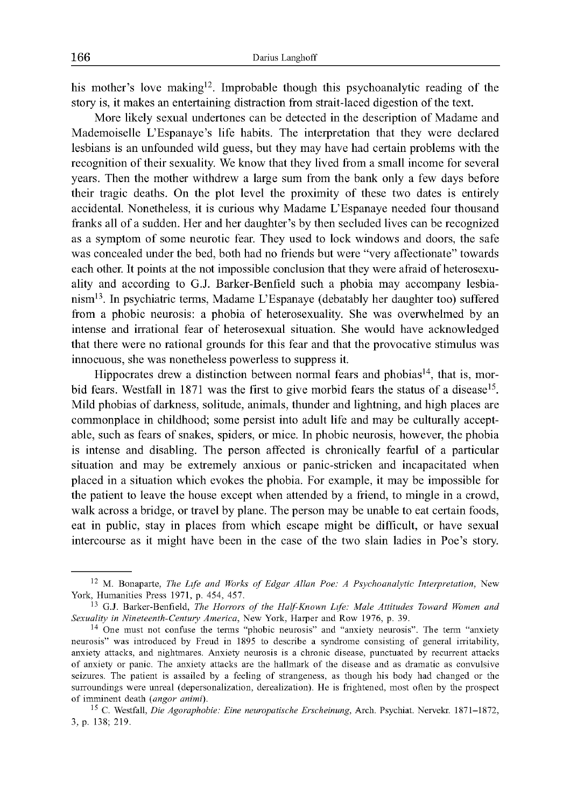his mother's love making<sup>12</sup>. Improbable though this psychoanalytic reading of the story is, it makes an entertaining distraction from strait-laced digestion of the text.

More likely sexual undertones can be detected in the description of Madame and Mademoiselle L'Espanaye's life habits. The interpretation that they were declared lesbians is an unfounded wild guess, but they may have had certain problems with the recognition of their sexuality. We know that they lived from a small income for several years. Then the mother withdrew a large sum from the bank only a few days before their tragic deaths. On the plot level the proximity of these two dates is entirely accidental. Nonetheless, it is curious why Madame L'Espanaye needed four thousand franks all of a sudden. Her and her daughter's by then secluded lives can be recognized as a symptom of some neurotic fear. They used to lock windows and doors, the safe was concealed under the bed, both had no friends but were "very affectionate" towards each other. It points at the not impossible conclusion that they were afraid of heterosexuality and according to G.J. Barker-Benfield such a phobia may accompany lesbianism13. In psychiatric terms, Madame L'Espanaye (debatably her daughter too) suffered from a phobic neurosis: a phobia of heterosexuality. She was overwhelmed by an intense and irrational fear of heterosexual situation. She would have acknowledged that there were no rational grounds for this fear and that the provocative stimulus was innocuous, she was nonetheless powerless to suppress it.

Hippocrates drew a distinction between normal fears and phobias<sup>14</sup>, that is, morbid fears. Westfall in 1871 was the first to give morbid fears the status of a disease<sup>15</sup>. Mild phobias of darkness, solitude, animals, thunder and lightning, and high places are commonplace in childhood; some persist into adult life and may be culturally acceptable, such as fears of snakes, spiders, or mice. In phobic neurosis, however, the phobia is intense and disabling. The person affected is chronically fearful of a particular situation and may be extremely anxious or panic-stricken and incapacitated when placed in a situation which evokes the phobia. For example, it may be impossible for the patient to leave the house except when attended by a friend, to mingle in a crowd, walk across a bridge, or travel by plane. The person may be unable to eat certain foods, eat in public, stay in places from which escape might be difficult, or have sexual intercourse as it might have been in the case of the two slain ladies in Poe's story.

<sup>&</sup>lt;sup>12</sup> M. Bonaparte, *The Life and Works of Edgar Allan Poe: A Psychoanalytic Interpretation*, New York, Humanities Press 1971, p. 454, 457.

<sup>&</sup>lt;sup>13</sup> G.J. Barker-Benfield, *The Horrors of the Half-Known Life: Male Attitudes Toward Women and Sexuality in Nineteenth-Century America, New York, Harper and Row 1976, p. 39.* 

<sup>&</sup>lt;sup>14</sup> One must not confuse the terms "phobic neurosis" and "anxiety neurosis". The term "anxiety neurosis" was introduced by Freud in 1895 to describe a syndrome consisting of general irritability, anxiety attacks, and nightmares. Anxiety neurosis is a chronic disease, punctuated by recurrent attacks of anxiety or panic. The anxiety attacks are the hallmark of the disease and as dramatic as convulsive seizures. The patient is assailed by a feeling of strangeness, as though his body had changed or the surroundings were unreal (depersonalization, derealization). He is frightened, most often by the prospect of imminent death (angor animi).

<sup>15</sup> C. Westfall, *Die Agoraphobie: Eine neuropatische Erscheinung,* Arch. Psychiat. Nervekr. 1871-1872, 3, p. 138; 219.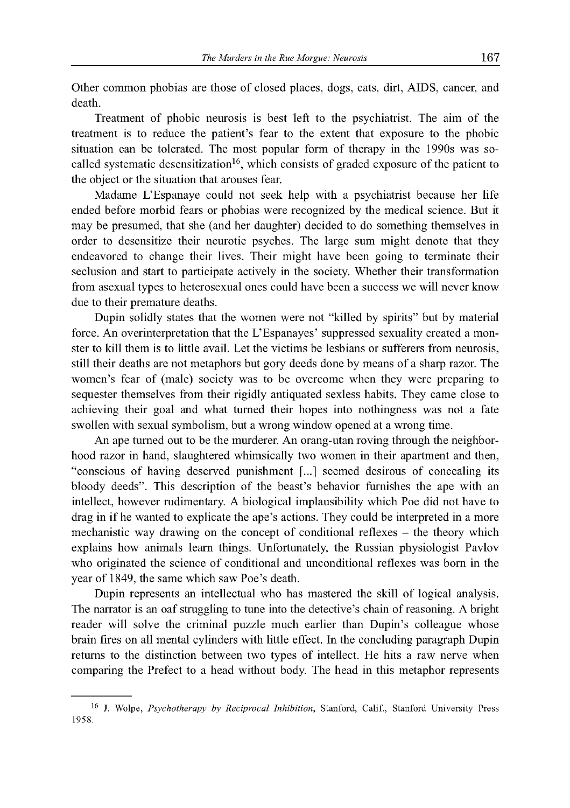Other common phobias are those of closed places, dogs, cats, dirt, AIDS, cancer, and death.

Treatment of phobic neurosis is best left to the psychiatrist. The aim of the treatment is to reduce the patient's fear to the extent that exposure to the phobic situation can be tolerated. The most popular form of therapy in the 1990s was socalled systematic desensitization<sup>16</sup>, which consists of graded exposure of the patient to the object or the situation that arouses fear.

Madame L'Espanaye could not seek help with a psychiatrist because her life ended before morbid fears or phobias were recognized by the medical science. But it may be presumed, that she (and her daughter) decided to do something themselves in order to desensitize their neurotic psyches. The large sum might denote that they endeavored to change their lives. Their might have been going to terminate their seclusion and start to participate actively in the society. Whether their transformation from asexual types to heterosexual ones could have been a success we will never know due to their premature deaths.

Dupin solidly states that the women were not "killed by spirits" but by material force. An overinterpretation that the L'Espanayes' suppressed sexuality created a monster to kill them is to little avail. Let the victims be lesbians or sufferers from neurosis, still their deaths are not metaphors but gory deeds done by means of a sharp razor. The women's fear of (male) society was to be overcome when they were preparing to sequester themselves from their rigidly antiquated sexless habits. They came close to achieving their goal and what turned their hopes into nothingness was not a fate swollen with sexual symbolism, but a wrong window opened at a wrong time.

An ape turned out to be the murderer. An orang-utan roving through the neighborhood razor in hand, slaughtered whimsically two women in their apartment and then, "conscious of having deserved punishment [...] seemed desirous of concealing its bloody deeds". This description of the beast's behavior furnishes the ape with an intellect, however rudimentary. A biological implausibility which Poe did not have to drag in if he wanted to explicate the ape's actions. They could be interpreted in a more mechanistic way drawing on the concept of conditional reflexes - the theory which explains how animals learn things. Unfortunately, the Russian physiologist Pavlov who originated the science of conditional and unconditional reflexes was born in the year of 1849, the same which saw Poe's death.

Dupin represents an intellectual who has mastered the skill of logical analysis. The narrator is an oaf struggling to tune into the detective's chain of reasoning. A bright reader will solve the criminal puzzle much earlier than Dupin's colleague whose brain fires on all mental cylinders with little effect. In the concluding paragraph Dupin returns to the distinction between two types of intellect. He hits a raw nerve when comparing the Prefect to a head without body. The head in this metaphor represents

<sup>&</sup>lt;sup>16</sup> J. Wolpe, *Psychotherapy by Reciprocal Inhibition*, Stanford, Calif., Stanford University Press 1958.